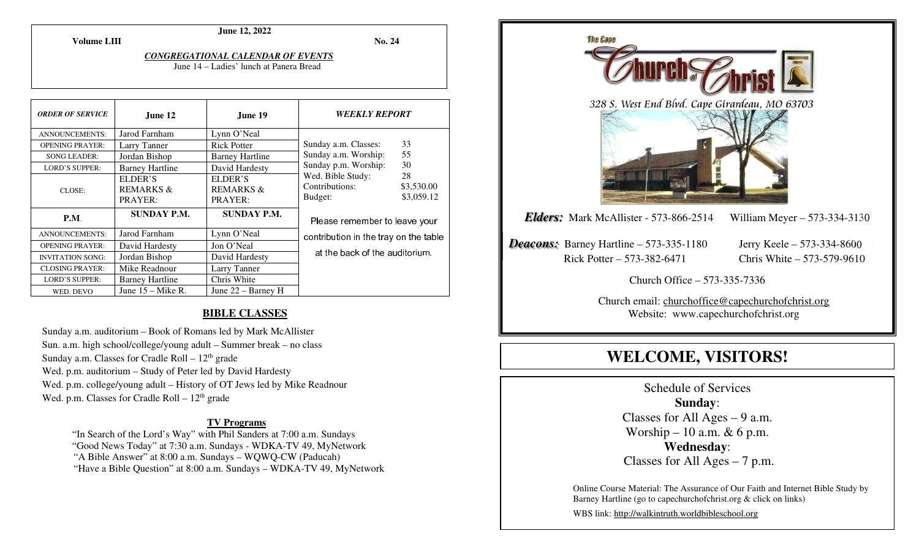**Volume LIII**

**No. 24** 

#### *CONGREGATIONAL CALENDAR OF EVENTS*

**June 12, 2022** 

June 14 – Ladies' lunch at Panera Bread

| <b>ORDER OF SERVICE</b> | June 12                                    | June 19                                    | <b>WEEKLY REPORT</b>                           |                                |
|-------------------------|--------------------------------------------|--------------------------------------------|------------------------------------------------|--------------------------------|
| <b>ANNOUNCEMENTS:</b>   | Jarod Farnham                              | Lynn O'Neal                                |                                                |                                |
| <b>OPENING PRAYER:</b>  | Larry Tanner                               | <b>Rick Potter</b>                         | Sunday a.m. Classes:                           | 33                             |
| <b>SONG LEADER:</b>     | Jordan Bishop                              | <b>Barney Hartline</b>                     | Sunday a.m. Worship:                           | 55                             |
| <b>LORD'S SUPPER:</b>   | <b>Barney Hartline</b>                     | David Hardesty                             | Sunday p.m. Worship:                           | 30                             |
| CLOSE:                  | ELDER'S<br><b>REMARKS &amp;</b><br>PRAYER: | ELDER'S<br><b>REMARKS &amp;</b><br>PRAYER: | Wed. Bible Study:<br>Contributions:<br>Budget: | 28<br>\$3,530.00<br>\$3,059.12 |
| P.M.                    | <b>SUNDAY P.M.</b>                         | <b>SUNDAY P.M.</b>                         | Please remember to leave your                  |                                |
| <b>ANNOUNCEMENTS:</b>   | Jarod Farnham                              | Lynn O'Neal                                | contribution in the tray on the table          |                                |
| <b>OPENING PRAYER:</b>  | David Hardesty                             | Jon O'Neal                                 |                                                |                                |
| <b>INVITATION SONG:</b> | Jordan Bishop                              | David Hardesty                             | at the back of the auditorium.                 |                                |
| <b>CLOSING PRAYER:</b>  | Mike Readnour                              | Larry Tanner                               |                                                |                                |
| <b>LORD'S SUPPER:</b>   | <b>Barney Hartline</b>                     | Chris White                                |                                                |                                |
| WED. DEVO               | June $15 -$ Mike R.                        | June $22 -$ Barney H                       |                                                |                                |

# **BIBLE CLASSES**

Sunday a.m. auditorium – Book of Romans led by Mark McAllister Sun. a.m. high school/college/young adult – Summer break – no class Sunday a.m. Classes for Cradle Roll  $-12<sup>th</sup>$  grade Wed. p.m. auditorium – Study of Peter led by David Hardesty Wed. p.m. college/young adult – History of OT Jews led by Mike Readnour Wed. p.m. Classes for Cradle Roll  $-12<sup>th</sup>$  grade

# **TV Programs**

 "In Search of the Lord's Way" with Phil Sanders at 7:00 a.m. Sundays "Good News Today" at 7:30 a.m. Sundays - WDKA-TV 49, MyNetwork "A Bible Answer" at 8:00 a.m. Sundays – WQWQ-CW (Paducah) "Have a Bible Question" at 8:00 a.m. Sundays – WDKA-TV 49, MyNetwork



# **WELCOME, VISITORS!**

Schedule of Services **Sunday**: Classes for All Ages  $-9$  a.m. Worship – 10 a.m.  $& 6$  p.m. **Wednesday**: Classes for All Ages – 7 p.m.

Online Course Material: The Assurance of Our Faith and Internet Bible Study by Barney Hartline (go to capechurchofchrist.org & click on links)

WBS link: http://walkintruth.worldbibleschool.org